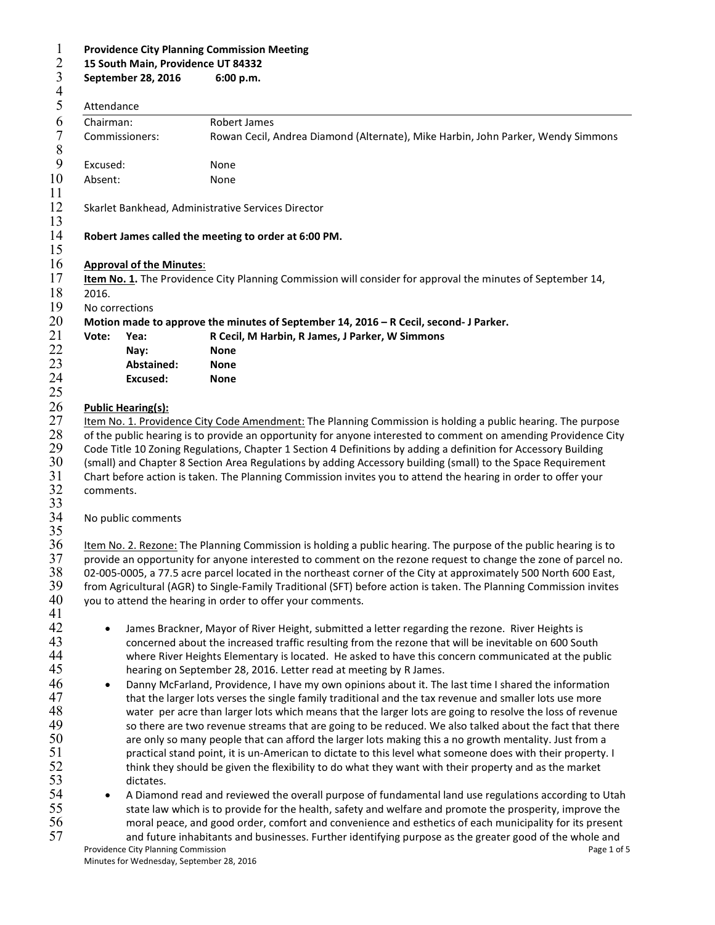| <b>Providence City Planning Commission Meeting</b><br>15 South Main, Providence UT 84332<br>September 28, 2016<br>6:00 p.m.                                                                                                                                                                                                                                                                                                                                                                                                                           |                                 |                                                                                                                                                                                                                                                                                                                                                                                                                                                                                                                                            |  |  |
|-------------------------------------------------------------------------------------------------------------------------------------------------------------------------------------------------------------------------------------------------------------------------------------------------------------------------------------------------------------------------------------------------------------------------------------------------------------------------------------------------------------------------------------------------------|---------------------------------|--------------------------------------------------------------------------------------------------------------------------------------------------------------------------------------------------------------------------------------------------------------------------------------------------------------------------------------------------------------------------------------------------------------------------------------------------------------------------------------------------------------------------------------------|--|--|
| Attendance                                                                                                                                                                                                                                                                                                                                                                                                                                                                                                                                            |                                 |                                                                                                                                                                                                                                                                                                                                                                                                                                                                                                                                            |  |  |
| Chairman:                                                                                                                                                                                                                                                                                                                                                                                                                                                                                                                                             |                                 | Robert James                                                                                                                                                                                                                                                                                                                                                                                                                                                                                                                               |  |  |
|                                                                                                                                                                                                                                                                                                                                                                                                                                                                                                                                                       | Commissioners:                  | Rowan Cecil, Andrea Diamond (Alternate), Mike Harbin, John Parker, Wendy Simmons                                                                                                                                                                                                                                                                                                                                                                                                                                                           |  |  |
| Excused:                                                                                                                                                                                                                                                                                                                                                                                                                                                                                                                                              |                                 | None                                                                                                                                                                                                                                                                                                                                                                                                                                                                                                                                       |  |  |
| Absent:                                                                                                                                                                                                                                                                                                                                                                                                                                                                                                                                               |                                 | None                                                                                                                                                                                                                                                                                                                                                                                                                                                                                                                                       |  |  |
|                                                                                                                                                                                                                                                                                                                                                                                                                                                                                                                                                       |                                 | Skarlet Bankhead, Administrative Services Director                                                                                                                                                                                                                                                                                                                                                                                                                                                                                         |  |  |
|                                                                                                                                                                                                                                                                                                                                                                                                                                                                                                                                                       |                                 | Robert James called the meeting to order at 6:00 PM.                                                                                                                                                                                                                                                                                                                                                                                                                                                                                       |  |  |
|                                                                                                                                                                                                                                                                                                                                                                                                                                                                                                                                                       | <b>Approval of the Minutes:</b> |                                                                                                                                                                                                                                                                                                                                                                                                                                                                                                                                            |  |  |
| 2016.                                                                                                                                                                                                                                                                                                                                                                                                                                                                                                                                                 |                                 | Item No. 1. The Providence City Planning Commission will consider for approval the minutes of September 14,                                                                                                                                                                                                                                                                                                                                                                                                                                |  |  |
| No corrections                                                                                                                                                                                                                                                                                                                                                                                                                                                                                                                                        |                                 |                                                                                                                                                                                                                                                                                                                                                                                                                                                                                                                                            |  |  |
|                                                                                                                                                                                                                                                                                                                                                                                                                                                                                                                                                       |                                 | Motion made to approve the minutes of September 14, 2016 - R Cecil, second- J Parker.                                                                                                                                                                                                                                                                                                                                                                                                                                                      |  |  |
| Vote:                                                                                                                                                                                                                                                                                                                                                                                                                                                                                                                                                 | Yea:<br>Nay:                    | R Cecil, M Harbin, R James, J Parker, W Simmons<br><b>None</b>                                                                                                                                                                                                                                                                                                                                                                                                                                                                             |  |  |
|                                                                                                                                                                                                                                                                                                                                                                                                                                                                                                                                                       | Abstained:                      | <b>None</b>                                                                                                                                                                                                                                                                                                                                                                                                                                                                                                                                |  |  |
|                                                                                                                                                                                                                                                                                                                                                                                                                                                                                                                                                       | <b>Excused:</b>                 | <b>None</b>                                                                                                                                                                                                                                                                                                                                                                                                                                                                                                                                |  |  |
|                                                                                                                                                                                                                                                                                                                                                                                                                                                                                                                                                       |                                 |                                                                                                                                                                                                                                                                                                                                                                                                                                                                                                                                            |  |  |
|                                                                                                                                                                                                                                                                                                                                                                                                                                                                                                                                                       | <b>Public Hearing(s):</b>       | Item No. 1. Providence City Code Amendment: The Planning Commission is holding a public hearing. The purpose                                                                                                                                                                                                                                                                                                                                                                                                                               |  |  |
| comments.                                                                                                                                                                                                                                                                                                                                                                                                                                                                                                                                             |                                 | (small) and Chapter 8 Section Area Regulations by adding Accessory building (small) to the Space Requirement<br>Chart before action is taken. The Planning Commission invites you to attend the hearing in order to offer your                                                                                                                                                                                                                                                                                                             |  |  |
|                                                                                                                                                                                                                                                                                                                                                                                                                                                                                                                                                       | No public comments              |                                                                                                                                                                                                                                                                                                                                                                                                                                                                                                                                            |  |  |
|                                                                                                                                                                                                                                                                                                                                                                                                                                                                                                                                                       |                                 | Item No. 2. Rezone: The Planning Commission is holding a public hearing. The purpose of the public hearing is to<br>provide an opportunity for anyone interested to comment on the rezone request to change the zone of parcel no.<br>02-005-0005, a 77.5 acre parcel located in the northeast corner of the City at approximately 500 North 600 East,<br>from Agricultural (AGR) to Single-Family Traditional (SFT) before action is taken. The Planning Commission invites<br>you to attend the hearing in order to offer your comments. |  |  |
| $\bullet$                                                                                                                                                                                                                                                                                                                                                                                                                                                                                                                                             |                                 | James Brackner, Mayor of River Height, submitted a letter regarding the rezone. River Heights is<br>concerned about the increased traffic resulting from the rezone that will be inevitable on 600 South<br>where River Heights Elementary is located. He asked to have this concern communicated at the public<br>hearing on September 28, 2016. Letter read at meeting by R James.                                                                                                                                                       |  |  |
| Danny McFarland, Providence, I have my own opinions about it. The last time I shared the information<br>$\bullet$<br>that the larger lots verses the single family traditional and the tax revenue and smaller lots use more                                                                                                                                                                                                                                                                                                                          |                                 |                                                                                                                                                                                                                                                                                                                                                                                                                                                                                                                                            |  |  |
| water per acre than larger lots which means that the larger lots are going to resolve the loss of revenue<br>so there are two revenue streams that are going to be reduced. We also talked about the fact that there<br>are only so many people that can afford the larger lots making this a no growth mentality. Just from a<br>practical stand point, it is un-American to dictate to this level what someone does with their property. I<br>think they should be given the flexibility to do what they want with their property and as the market |                                 |                                                                                                                                                                                                                                                                                                                                                                                                                                                                                                                                            |  |  |
| $\bullet$                                                                                                                                                                                                                                                                                                                                                                                                                                                                                                                                             | dictates.                       |                                                                                                                                                                                                                                                                                                                                                                                                                                                                                                                                            |  |  |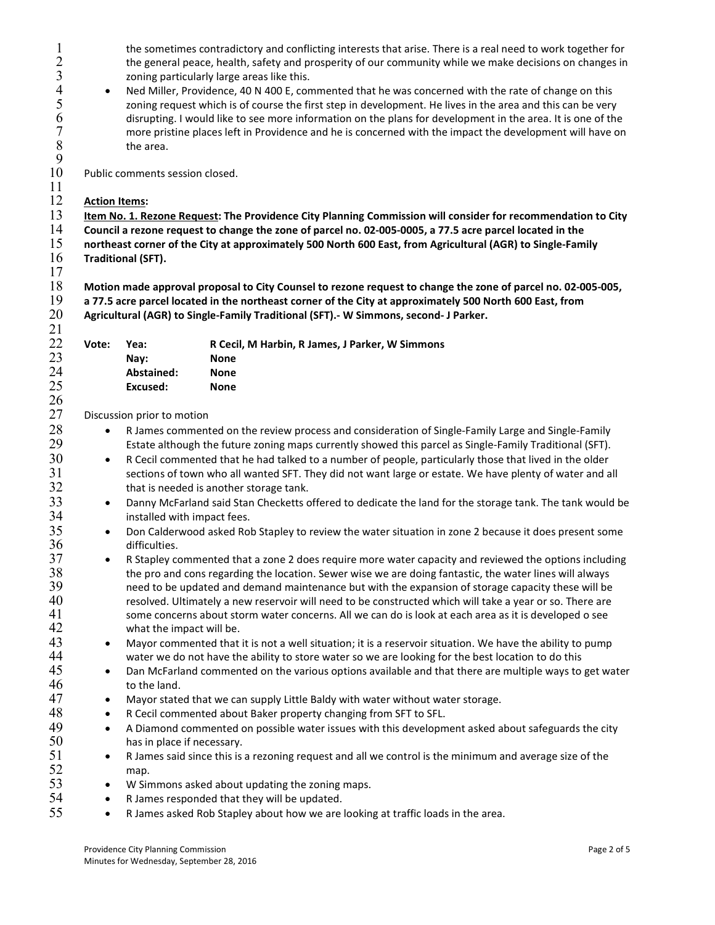1 the sometimes contradictory and conflicting interests that arise. There is a real need to work together for<br>
2 the general peace, health, safety and prosperity of our community while we make decisions on changes in<br>
2 on the general peace, health, safety and prosperity of our community while we make decisions on changes in zoning particularly large areas like this.

A Ned Miller, Providence, 40 N 400 E, commented that he was concerned with the rate of change on this<br>
2011 The property which is of course the first step in development. He lives in the area and this can be very 5 zoning request which is of course the first step in development. He lives in the area and this can be very<br>6 disrupting. I would like to see more information on the plans for development in the area. It is one of the<br>7 m disrupting. I would like to see more information on the plans for development in the area. It is one of the 7 more pristine places left in Providence and he is concerned with the impact the development will have on  $8$ the area.

Public comments session closed.

## $\frac{11}{12}$ **Action Items:**

 $\frac{9}{10}$ 

17

13 Item No. 1. Rezone Request: The Providence City Planning Commission will consider for recommendation to City

14 Council a rezone request to change the zone of parcel no. 02-005-0005, a 77.5 acre parcel located in the<br>15 northeast corner of the City at approximately 500 North 600 East, from Agricultural (AGR) to Single-Fam

northeast corner of the City at approximately 500 North 600 East, from Agricultural (AGR) to Single-Family 16 Traditional (SFT).

 $18$  Motion made approval proposal to City Counsel to rezone request to change the zone of parcel no. 02-005-005, 19 a 77.5 acre parcel located in the northeast corner of the City at approximately 500 North 600 East, from 20 Agricultural (AGR) to Single-Family Traditional (SFT).- W Simmons, second- J Parker.

| 21 |       |            |                                                 |
|----|-------|------------|-------------------------------------------------|
| 22 | Vote: | Yea:       | R Cecil, M Harbin, R James, J Parker, W Simmons |
| 23 |       | Nav:       | <b>None</b>                                     |
| 24 |       | Abstained: | None                                            |
| 25 |       | Excused:   | <b>None</b>                                     |
| 26 |       |            |                                                 |

27 Discussion prior to motion

28 • R James commented on the review process and consideration of Single-Family Large and Single-Family 29 Estate although the future zoning maps currently showed this parcel as Single-Family Traditional (SFT).

- $30$  except commented that he had talked to a number of people, particularly those that lived in the older 31 sections of town who all wanted SFT. They did not want large or estate. We have plenty of water and all 32 that is needed is another storage tank.
- 33 **••** Danny McFarland said Stan Checketts offered to dedicate the land for the storage tank. The tank would be 34 installed with impact fees.
- 35 **••** Don Calderwood asked Rob Stapley to review the water situation in zone 2 because it does present some
- 36 difficulties.<br>37 R Stapley co 87 • R Stapley commented that a zone 2 does require more water capacity and reviewed the options including<br>38 the pro and cons regarding the location. Sewer wise we are doing fantastic, the water lines will always  $38$  the pro and cons regarding the location. Sewer wise we are doing fantastic, the water lines will always<br>39 **the meed to be updated and demand maintenance** but with the expansion of storage capacity these will be need to be updated and demand maintenance but with the expansion of storage capacity these will be 40 resolved. Ultimately a new reservoir will need to be constructed which will take a year or so. There are 41 some concerns about storm water concerns. All we can do is look at each area as it is developed o see<br>42 what the impact will be. what the impact will be.
- 43 Mayor commented that it is not a well situation; it is a reservoir situation. We have the ability to pump 44 water we do not have the ability to store water so we are looking for the best location to do this
- 45 Dan McFarland commented on the various options available and that there are multiple ways to get water 46 to the land.
- 47 Mayor stated that we can supply Little Baldy with water without water storage.
- 48 R Cecil commented about Baker property changing from SFT to SFL.
- 49 A Diamond commented on possible water issues with this development asked about safeguards the city 50 has in place if necessary.
- 51 R James said since this is a rezoning request and all we control is the minimum and average size of the 52 map.
- 53 W Simmons asked about updating the zoning maps.
- $54 \rightarrow R$  James responded that they will be updated.
- $55$   $\bullet$  R James asked Rob Stapley about how we are looking at traffic loads in the area.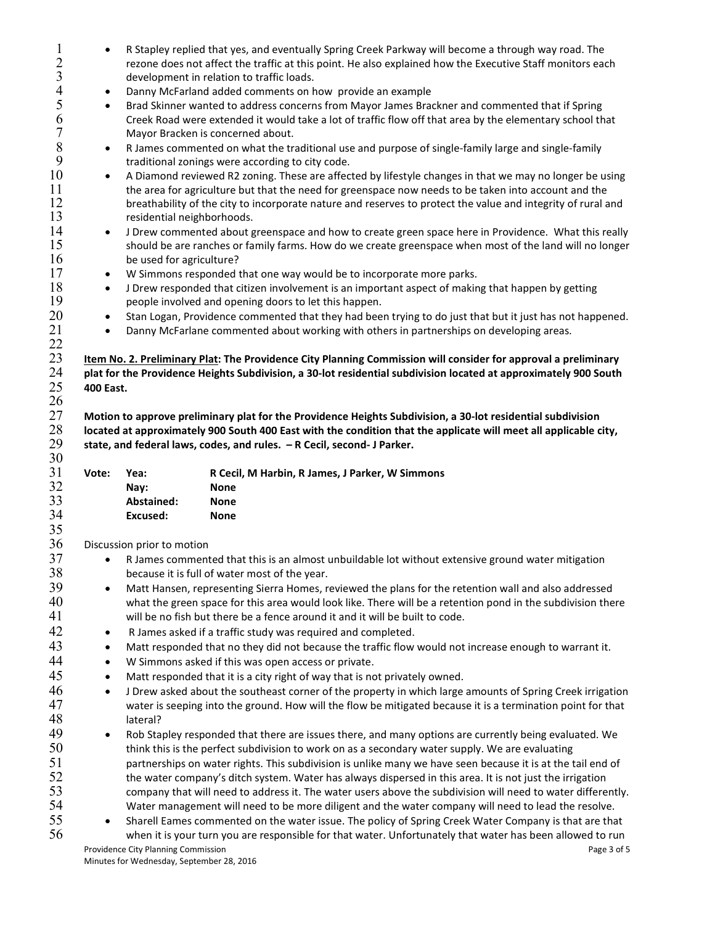| $\mathbf{1}$   | $\bullet$        |                                                                                                                  | R Stapley replied that yes, and eventually Spring Creek Parkway will become a through way road. The                      |  |  |  |  |
|----------------|------------------|------------------------------------------------------------------------------------------------------------------|--------------------------------------------------------------------------------------------------------------------------|--|--|--|--|
| $\sqrt{2}$     |                  |                                                                                                                  | rezone does not affect the traffic at this point. He also explained how the Executive Staff monitors each                |  |  |  |  |
| $\overline{3}$ |                  | development in relation to traffic loads.                                                                        |                                                                                                                          |  |  |  |  |
| $\overline{4}$ | $\bullet$        | Danny McFarland added comments on how provide an example                                                         |                                                                                                                          |  |  |  |  |
| 5              | $\bullet$        |                                                                                                                  | Brad Skinner wanted to address concerns from Mayor James Brackner and commented that if Spring                           |  |  |  |  |
| 6              |                  |                                                                                                                  | Creek Road were extended it would take a lot of traffic flow off that area by the elementary school that                 |  |  |  |  |
| $\sqrt{ }$     |                  |                                                                                                                  | Mayor Bracken is concerned about.                                                                                        |  |  |  |  |
| $\, 8$         | $\bullet$        | R James commented on what the traditional use and purpose of single-family large and single-family               |                                                                                                                          |  |  |  |  |
| 9              |                  | traditional zonings were according to city code.                                                                 |                                                                                                                          |  |  |  |  |
| 10             | $\bullet$        |                                                                                                                  | A Diamond reviewed R2 zoning. These are affected by lifestyle changes in that we may no longer be using                  |  |  |  |  |
| 11             |                  | the area for agriculture but that the need for greenspace now needs to be taken into account and the             |                                                                                                                          |  |  |  |  |
| 12             |                  | breathability of the city to incorporate nature and reserves to protect the value and integrity of rural and     |                                                                                                                          |  |  |  |  |
| 13             |                  | residential neighborhoods.                                                                                       |                                                                                                                          |  |  |  |  |
| 14             | $\bullet$        | J Drew commented about greenspace and how to create green space here in Providence. What this really             |                                                                                                                          |  |  |  |  |
| 15             |                  | should be are ranches or family farms. How do we create greenspace when most of the land will no longer          |                                                                                                                          |  |  |  |  |
| 16             |                  | be used for agriculture?                                                                                         |                                                                                                                          |  |  |  |  |
| 17             | $\bullet$        | W Simmons responded that one way would be to incorporate more parks.                                             |                                                                                                                          |  |  |  |  |
| 18             | $\bullet$        |                                                                                                                  | J Drew responded that citizen involvement is an important aspect of making that happen by getting                        |  |  |  |  |
| 19             |                  |                                                                                                                  | people involved and opening doors to let this happen.                                                                    |  |  |  |  |
| 20             | $\bullet$        |                                                                                                                  | Stan Logan, Providence commented that they had been trying to do just that but it just has not happened.                 |  |  |  |  |
| 21             | $\bullet$        |                                                                                                                  | Danny McFarlane commented about working with others in partnerships on developing areas.                                 |  |  |  |  |
| 22             |                  |                                                                                                                  |                                                                                                                          |  |  |  |  |
| 23             |                  |                                                                                                                  | Item No. 2. Preliminary Plat: The Providence City Planning Commission will consider for approval a preliminary           |  |  |  |  |
| 24             |                  |                                                                                                                  | plat for the Providence Heights Subdivision, a 30-lot residential subdivision located at approximately 900 South         |  |  |  |  |
| 25             | <b>400 East.</b> |                                                                                                                  |                                                                                                                          |  |  |  |  |
| 26             |                  |                                                                                                                  |                                                                                                                          |  |  |  |  |
| 27<br>28       |                  | Motion to approve preliminary plat for the Providence Heights Subdivision, a 30-lot residential subdivision      |                                                                                                                          |  |  |  |  |
|                |                  | located at approximately 900 South 400 East with the condition that the applicate will meet all applicable city, |                                                                                                                          |  |  |  |  |
|                |                  |                                                                                                                  |                                                                                                                          |  |  |  |  |
| 29             |                  |                                                                                                                  | state, and federal laws, codes, and rules. - R Cecil, second- J Parker.                                                  |  |  |  |  |
| 30             |                  |                                                                                                                  |                                                                                                                          |  |  |  |  |
| 31             | Vote:            | Yea:                                                                                                             | R Cecil, M Harbin, R James, J Parker, W Simmons                                                                          |  |  |  |  |
| 32             |                  | Nay:                                                                                                             | <b>None</b>                                                                                                              |  |  |  |  |
| 33             |                  | Abstained:                                                                                                       | <b>None</b>                                                                                                              |  |  |  |  |
| 34             |                  | Excused:                                                                                                         | <b>None</b>                                                                                                              |  |  |  |  |
| 35             |                  |                                                                                                                  |                                                                                                                          |  |  |  |  |
| 36             |                  | Discussion prior to motion                                                                                       |                                                                                                                          |  |  |  |  |
| 37             | $\bullet$        |                                                                                                                  | R James commented that this is an almost unbuildable lot without extensive ground water mitigation                       |  |  |  |  |
| 38             |                  |                                                                                                                  | because it is full of water most of the year.                                                                            |  |  |  |  |
| 39             | $\bullet$        |                                                                                                                  | Matt Hansen, representing Sierra Homes, reviewed the plans for the retention wall and also addressed                     |  |  |  |  |
| 40             |                  |                                                                                                                  | what the green space for this area would look like. There will be a retention pond in the subdivision there              |  |  |  |  |
| 41             |                  |                                                                                                                  | will be no fish but there be a fence around it and it will be built to code.                                             |  |  |  |  |
| 42             | $\bullet$        |                                                                                                                  | R James asked if a traffic study was required and completed.                                                             |  |  |  |  |
| 43             | $\bullet$        |                                                                                                                  | Matt responded that no they did not because the traffic flow would not increase enough to warrant it.                    |  |  |  |  |
| 44             | $\bullet$        |                                                                                                                  | W Simmons asked if this was open access or private.                                                                      |  |  |  |  |
| 45             | $\bullet$        |                                                                                                                  | Matt responded that it is a city right of way that is not privately owned.                                               |  |  |  |  |
| 46             | $\bullet$        |                                                                                                                  | J Drew asked about the southeast corner of the property in which large amounts of Spring Creek irrigation                |  |  |  |  |
| 47             |                  |                                                                                                                  | water is seeping into the ground. How will the flow be mitigated because it is a termination point for that              |  |  |  |  |
| 48             |                  | lateral?                                                                                                         |                                                                                                                          |  |  |  |  |
| 49             | $\bullet$        |                                                                                                                  | Rob Stapley responded that there are issues there, and many options are currently being evaluated. We                    |  |  |  |  |
| 50             |                  |                                                                                                                  | think this is the perfect subdivision to work on as a secondary water supply. We are evaluating                          |  |  |  |  |
| 51             |                  |                                                                                                                  | partnerships on water rights. This subdivision is unlike many we have seen because it is at the tail end of              |  |  |  |  |
| 52             |                  |                                                                                                                  | the water company's ditch system. Water has always dispersed in this area. It is not just the irrigation                 |  |  |  |  |
| 53             |                  |                                                                                                                  | company that will need to address it. The water users above the subdivision will need to water differently.              |  |  |  |  |
| 54             |                  |                                                                                                                  | Water management will need to be more diligent and the water company will need to lead the resolve.                      |  |  |  |  |
| 55             | $\bullet$        |                                                                                                                  | Sharell Eames commented on the water issue. The policy of Spring Creek Water Company is that are that                    |  |  |  |  |
| 56             |                  | Providence City Planning Commission                                                                              | when it is your turn you are responsible for that water. Unfortunately that water has been allowed to run<br>Page 3 of 5 |  |  |  |  |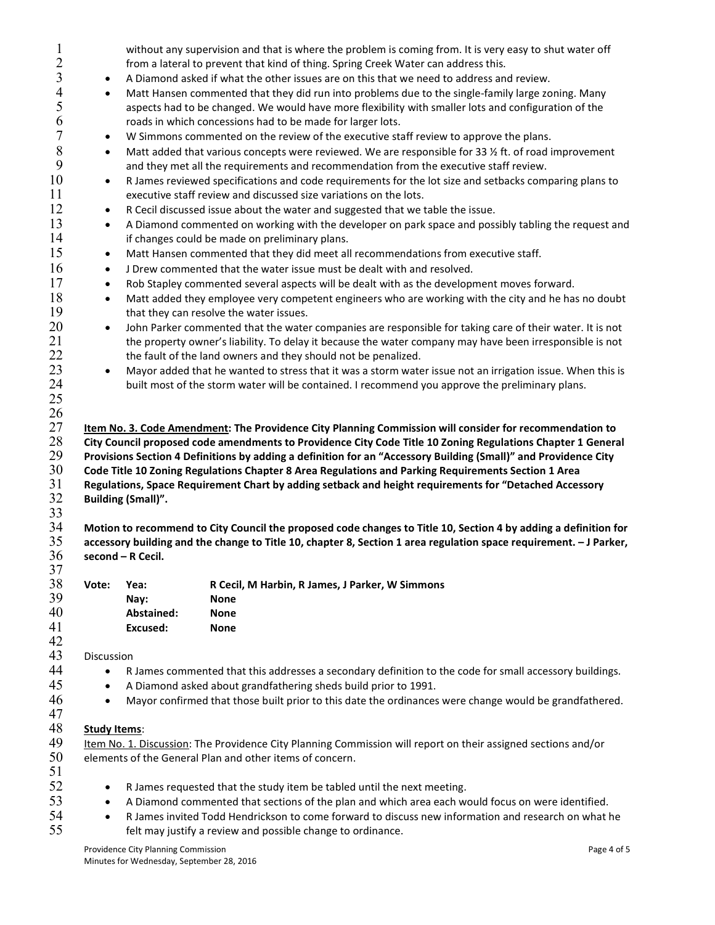| $\overline{2}$ |                                                                                                             | without any supervision and that is where the problem is coming from. It is very easy to shut water off                                                                                                              |                                                                                                                                                                                                          |  |  |  |  |  |
|----------------|-------------------------------------------------------------------------------------------------------------|----------------------------------------------------------------------------------------------------------------------------------------------------------------------------------------------------------------------|----------------------------------------------------------------------------------------------------------------------------------------------------------------------------------------------------------|--|--|--|--|--|
|                |                                                                                                             |                                                                                                                                                                                                                      | from a lateral to prevent that kind of thing. Spring Creek Water can address this.                                                                                                                       |  |  |  |  |  |
| 3              | $\bullet$                                                                                                   | A Diamond asked if what the other issues are on this that we need to address and review.                                                                                                                             |                                                                                                                                                                                                          |  |  |  |  |  |
| 4<br>5         | $\bullet$                                                                                                   | Matt Hansen commented that they did run into problems due to the single-family large zoning. Many<br>aspects had to be changed. We would have more flexibility with smaller lots and configuration of the            |                                                                                                                                                                                                          |  |  |  |  |  |
| 6              |                                                                                                             |                                                                                                                                                                                                                      | roads in which concessions had to be made for larger lots.                                                                                                                                               |  |  |  |  |  |
| 7              | $\bullet$                                                                                                   |                                                                                                                                                                                                                      | W Simmons commented on the review of the executive staff review to approve the plans.                                                                                                                    |  |  |  |  |  |
| 8              |                                                                                                             |                                                                                                                                                                                                                      |                                                                                                                                                                                                          |  |  |  |  |  |
| 9              | $\bullet$                                                                                                   | Matt added that various concepts were reviewed. We are responsible for 33 1/2 ft. of road improvement<br>and they met all the requirements and recommendation from the executive staff review.                       |                                                                                                                                                                                                          |  |  |  |  |  |
| 10<br>11       | $\bullet$                                                                                                   | R James reviewed specifications and code requirements for the lot size and setbacks comparing plans to                                                                                                               |                                                                                                                                                                                                          |  |  |  |  |  |
| 12             |                                                                                                             | executive staff review and discussed size variations on the lots.                                                                                                                                                    |                                                                                                                                                                                                          |  |  |  |  |  |
| 13             |                                                                                                             | R Cecil discussed issue about the water and suggested that we table the issue.<br>$\bullet$                                                                                                                          |                                                                                                                                                                                                          |  |  |  |  |  |
| 14             |                                                                                                             | A Diamond commented on working with the developer on park space and possibly tabling the request and<br>$\bullet$<br>if changes could be made on preliminary plans.                                                  |                                                                                                                                                                                                          |  |  |  |  |  |
| 15             | $\bullet$                                                                                                   | Matt Hansen commented that they did meet all recommendations from executive staff.                                                                                                                                   |                                                                                                                                                                                                          |  |  |  |  |  |
| 16             | $\bullet$                                                                                                   |                                                                                                                                                                                                                      | J Drew commented that the water issue must be dealt with and resolved.                                                                                                                                   |  |  |  |  |  |
| 17             | $\bullet$                                                                                                   |                                                                                                                                                                                                                      | Rob Stapley commented several aspects will be dealt with as the development moves forward.                                                                                                               |  |  |  |  |  |
| 18<br>19       | $\bullet$                                                                                                   | Matt added they employee very competent engineers who are working with the city and he has no doubt<br>that they can resolve the water issues.                                                                       |                                                                                                                                                                                                          |  |  |  |  |  |
| 20             |                                                                                                             |                                                                                                                                                                                                                      |                                                                                                                                                                                                          |  |  |  |  |  |
| 21<br>22       | $\bullet$                                                                                                   | John Parker commented that the water companies are responsible for taking care of their water. It is not<br>the property owner's liability. To delay it because the water company may have been irresponsible is not |                                                                                                                                                                                                          |  |  |  |  |  |
| 23             |                                                                                                             | the fault of the land owners and they should not be penalized.                                                                                                                                                       |                                                                                                                                                                                                          |  |  |  |  |  |
| 24             | $\bullet$                                                                                                   | Mayor added that he wanted to stress that it was a storm water issue not an irrigation issue. When this is                                                                                                           |                                                                                                                                                                                                          |  |  |  |  |  |
|                |                                                                                                             |                                                                                                                                                                                                                      | built most of the storm water will be contained. I recommend you approve the preliminary plans.                                                                                                          |  |  |  |  |  |
| 25             |                                                                                                             |                                                                                                                                                                                                                      |                                                                                                                                                                                                          |  |  |  |  |  |
| 26             |                                                                                                             |                                                                                                                                                                                                                      |                                                                                                                                                                                                          |  |  |  |  |  |
| 27             |                                                                                                             |                                                                                                                                                                                                                      | Item No. 3. Code Amendment: The Providence City Planning Commission will consider for recommendation to                                                                                                  |  |  |  |  |  |
| 28             | City Council proposed code amendments to Providence City Code Title 10 Zoning Regulations Chapter 1 General |                                                                                                                                                                                                                      |                                                                                                                                                                                                          |  |  |  |  |  |
|                |                                                                                                             | Provisions Section 4 Definitions by adding a definition for an "Accessory Building (Small)" and Providence City                                                                                                      |                                                                                                                                                                                                          |  |  |  |  |  |
| 29             |                                                                                                             |                                                                                                                                                                                                                      |                                                                                                                                                                                                          |  |  |  |  |  |
| 30             |                                                                                                             |                                                                                                                                                                                                                      | Code Title 10 Zoning Regulations Chapter 8 Area Regulations and Parking Requirements Section 1 Area                                                                                                      |  |  |  |  |  |
| 31             |                                                                                                             |                                                                                                                                                                                                                      | Regulations, Space Requirement Chart by adding setback and height requirements for "Detached Accessory                                                                                                   |  |  |  |  |  |
| 32             |                                                                                                             | <b>Building (Small)".</b>                                                                                                                                                                                            |                                                                                                                                                                                                          |  |  |  |  |  |
| 33             |                                                                                                             |                                                                                                                                                                                                                      |                                                                                                                                                                                                          |  |  |  |  |  |
| 34             |                                                                                                             |                                                                                                                                                                                                                      | Motion to recommend to City Council the proposed code changes to Title 10, Section 4 by adding a definition for                                                                                          |  |  |  |  |  |
| 35             |                                                                                                             |                                                                                                                                                                                                                      | accessory building and the change to Title 10, chapter 8, Section 1 area regulation space requirement. - J Parker,                                                                                       |  |  |  |  |  |
| 36             |                                                                                                             | second - R Cecil.                                                                                                                                                                                                    |                                                                                                                                                                                                          |  |  |  |  |  |
| 37             |                                                                                                             |                                                                                                                                                                                                                      |                                                                                                                                                                                                          |  |  |  |  |  |
| 38             | Vote:                                                                                                       | Yea:                                                                                                                                                                                                                 | R Cecil, M Harbin, R James, J Parker, W Simmons                                                                                                                                                          |  |  |  |  |  |
| 39             |                                                                                                             | Nay:                                                                                                                                                                                                                 | <b>None</b>                                                                                                                                                                                              |  |  |  |  |  |
| 40             |                                                                                                             | Abstained:                                                                                                                                                                                                           | <b>None</b>                                                                                                                                                                                              |  |  |  |  |  |
| 41             |                                                                                                             | Excused:                                                                                                                                                                                                             | <b>None</b>                                                                                                                                                                                              |  |  |  |  |  |
| 42             |                                                                                                             |                                                                                                                                                                                                                      |                                                                                                                                                                                                          |  |  |  |  |  |
| 43             | Discussion                                                                                                  |                                                                                                                                                                                                                      |                                                                                                                                                                                                          |  |  |  |  |  |
| 44             |                                                                                                             |                                                                                                                                                                                                                      | R James commented that this addresses a secondary definition to the code for small accessory buildings.                                                                                                  |  |  |  |  |  |
| 45             | $\bullet$                                                                                                   |                                                                                                                                                                                                                      | A Diamond asked about grandfathering sheds build prior to 1991.                                                                                                                                          |  |  |  |  |  |
| 46<br>47       | $\bullet$                                                                                                   |                                                                                                                                                                                                                      | Mayor confirmed that those built prior to this date the ordinances were change would be grandfathered.                                                                                                   |  |  |  |  |  |
| 48             | <b>Study Items:</b>                                                                                         |                                                                                                                                                                                                                      |                                                                                                                                                                                                          |  |  |  |  |  |
| 49             |                                                                                                             |                                                                                                                                                                                                                      | Item No. 1. Discussion: The Providence City Planning Commission will report on their assigned sections and/or                                                                                            |  |  |  |  |  |
| 50             |                                                                                                             |                                                                                                                                                                                                                      | elements of the General Plan and other items of concern.                                                                                                                                                 |  |  |  |  |  |
| 51             |                                                                                                             |                                                                                                                                                                                                                      |                                                                                                                                                                                                          |  |  |  |  |  |
|                | $\bullet$                                                                                                   |                                                                                                                                                                                                                      |                                                                                                                                                                                                          |  |  |  |  |  |
| 52             |                                                                                                             |                                                                                                                                                                                                                      | R James requested that the study item be tabled until the next meeting.                                                                                                                                  |  |  |  |  |  |
| 53<br>54       | $\bullet$<br>$\bullet$                                                                                      |                                                                                                                                                                                                                      | A Diamond commented that sections of the plan and which area each would focus on were identified.<br>R James invited Todd Hendrickson to come forward to discuss new information and research on what he |  |  |  |  |  |